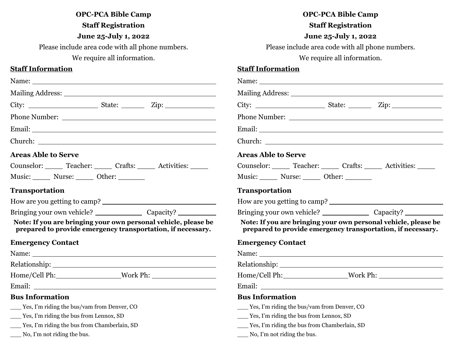|                                              | <b>OPC-PCA Bible Camp</b><br><b>Staff Registration</b> |                                                                                                                               |
|----------------------------------------------|--------------------------------------------------------|-------------------------------------------------------------------------------------------------------------------------------|
|                                              | June 25-July 1, 2022                                   |                                                                                                                               |
|                                              | Please include area code with all phone numbers.       |                                                                                                                               |
|                                              | We require all information.                            |                                                                                                                               |
| <b>Staff Information</b>                     |                                                        |                                                                                                                               |
|                                              |                                                        |                                                                                                                               |
|                                              |                                                        |                                                                                                                               |
|                                              |                                                        |                                                                                                                               |
|                                              |                                                        |                                                                                                                               |
|                                              |                                                        |                                                                                                                               |
|                                              |                                                        |                                                                                                                               |
| <b>Areas Able to Serve</b>                   |                                                        |                                                                                                                               |
|                                              |                                                        | Counselor: Teacher: Crafts: Activities: Counselor:                                                                            |
| Music: Nurse: Other:                         |                                                        |                                                                                                                               |
|                                              |                                                        |                                                                                                                               |
| <b>Transportation</b>                        |                                                        |                                                                                                                               |
|                                              |                                                        |                                                                                                                               |
|                                              |                                                        | Note: If you are bringing your own personal vehicle, please be<br>prepared to provide emergency transportation, if necessary. |
| <b>Emergency Contact</b>                     |                                                        |                                                                                                                               |
|                                              |                                                        |                                                                                                                               |
|                                              |                                                        |                                                                                                                               |
|                                              |                                                        | Home/Cell Ph:_________________________Work Ph: __________________________________                                             |
| Email:                                       |                                                        |                                                                                                                               |
| <b>Bus Information</b>                       |                                                        |                                                                                                                               |
| Yes, I'm riding the bus/vam from Denver, CO  |                                                        |                                                                                                                               |
| $Y$ es, I'm riding the bus from Lennox, SD   |                                                        |                                                                                                                               |
| Yes, I'm riding the bus from Chamberlain, SD |                                                        |                                                                                                                               |

| <b>OPC-PCA Bible Camp</b> |
|---------------------------|
|                           |

# **Staff Registration**

**June 25-July 1, 2022**

Please include area code with all phone numbers.

We require all information.

## **Staff Information**

| Name: Name and the second contract of the second contract of the second contract of the second contract of the second contract of the second contract of the second contract of the second contract of the second contract of        |  |                                                             |  |
|--------------------------------------------------------------------------------------------------------------------------------------------------------------------------------------------------------------------------------------|--|-------------------------------------------------------------|--|
|                                                                                                                                                                                                                                      |  |                                                             |  |
|                                                                                                                                                                                                                                      |  |                                                             |  |
| Phone Number: National Science of the Contract of the Contract of the Contract of the Contract of the Contract of the Contract of the Contract of the Contract of the Contract of the Contract of the Contract of the Contract       |  |                                                             |  |
|                                                                                                                                                                                                                                      |  |                                                             |  |
|                                                                                                                                                                                                                                      |  |                                                             |  |
| <b>Areas Able to Serve</b>                                                                                                                                                                                                           |  |                                                             |  |
| Counselor: Teacher: Crafts: Activities:                                                                                                                                                                                              |  |                                                             |  |
| Music: Nurse: Other:                                                                                                                                                                                                                 |  |                                                             |  |
| <b>Transportation</b>                                                                                                                                                                                                                |  |                                                             |  |
|                                                                                                                                                                                                                                      |  |                                                             |  |
|                                                                                                                                                                                                                                      |  |                                                             |  |
| Note: If you are bringing your own personal vehicle, please be                                                                                                                                                                       |  | prepared to provide emergency transportation, if necessary. |  |
| <b>Emergency Contact</b>                                                                                                                                                                                                             |  |                                                             |  |
| Name: $\frac{1}{2}$                                                                                                                                                                                                                  |  |                                                             |  |
|                                                                                                                                                                                                                                      |  |                                                             |  |
| Home/Cell Ph: Work Ph:                                                                                                                                                                                                               |  |                                                             |  |
| Email: <u>Constantino and Constantino and Constantino and Constantino and Constantino and Constantino and Constantino and Constantino and Constantino and Constantino and Constantino and Constantino and Constantino and Consta</u> |  |                                                             |  |
| <b>Bus Information</b>                                                                                                                                                                                                               |  |                                                             |  |
| _____ Yes, I'm riding the bus/vam from Denver, CO                                                                                                                                                                                    |  |                                                             |  |
| ___ Yes, I'm riding the bus from Lennox, SD                                                                                                                                                                                          |  |                                                             |  |
| ___ Yes, I'm riding the bus from Chamberlain, SD                                                                                                                                                                                     |  |                                                             |  |

\_\_\_ No, I'm not riding the bus.

\_\_\_ No, I'm not riding the bus.